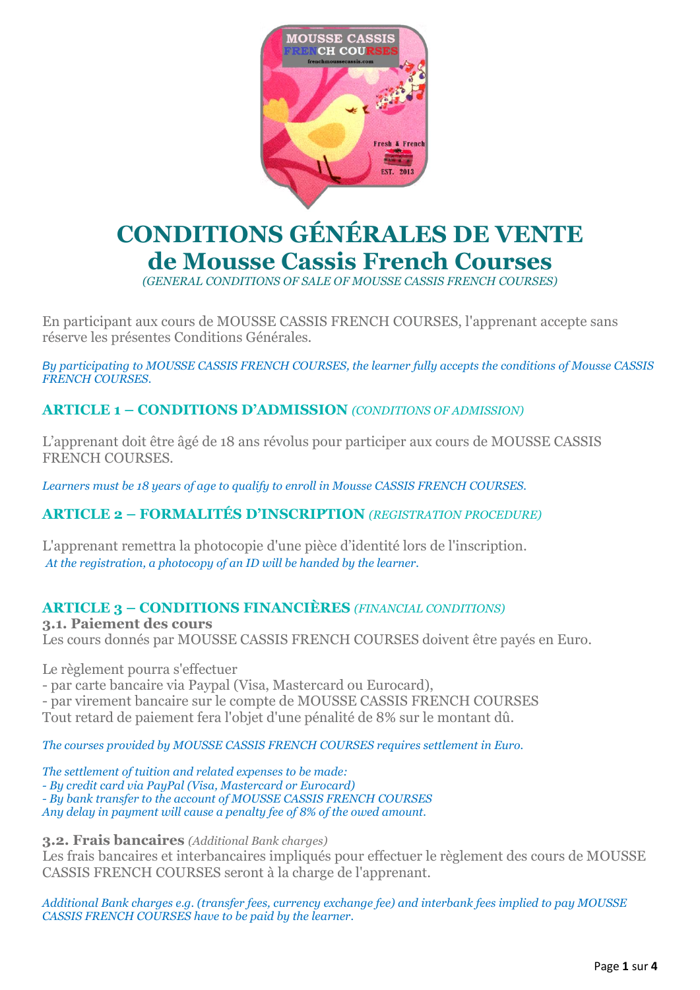

# **CONDITIONS GÉNÉRALES DE VENTE de Mousse Cassis French Courses**

*(GENERAL CONDITIONS OF SALE OF MOUSSE CASSIS FRENCH COURSES)*

En participant aux cours de MOUSSE CASSIS FRENCH COURSES, l'apprenant accepte sans réserve les présentes Conditions Générales.

By participating to MOUSSE CASSIS FRENCH COURSES, the learner fully accepts the conditions of Mousse CASSIS *FRENCH COURSES.*

## **ARTICLE 1 – CONDITIONS D'ADMISSION** *(CONDITIONS OF ADMISSION)*

L'apprenant doit être âgé de 18 ans révolus pour participer aux cours de MOUSSE CASSIS FRENCH COURSES.

*Learners must be 18 years of age to qualify to enroll in Mousse CASSIS FRENCH COURSES.*

## **ARTICLE 2 – FORMALITÉS D'INSCRIPTION** *(REGISTRATION PROCEDURE)*

L'apprenant remettra la photocopie d'une pièce d'identité lors de l'inscription. *At the registration, a photocopy of an ID will be handed by the learner.*

#### **ARTICLE 3 – CONDITIONS FINANCIÈRES** *(FINANCIAL CONDITIONS)*

**3.1. Paiement des cours** Les cours donnés par MOUSSE CASSIS FRENCH COURSES doivent être payés en Euro.

Le règlement pourra s'effectuer

- par carte bancaire via Paypal (Visa, Mastercard ou Eurocard),

- par virement bancaire sur le compte de MOUSSE CASSIS FRENCH COURSES

Tout retard de paiement fera l'objet d'une pénalité de 8% sur le montant dû.

*The courses provided by MOUSSE CASSIS FRENCH COURSES requires settlement in Euro.*

*The settlement of tuition and related expenses to be made:*

*- By credit card via PayPal (Visa, Mastercard or Eurocard)*

*- By bank transfer to the account of MOUSSE CASSIS FRENCH COURSES*

*Any delay in payment will cause a penalty fee of 8% of the owed amount.*

**3.2. Frais bancaires** *(Additional Bank charges)*

Les frais bancaires et interbancaires impliqués pour effectuer le règlement des cours de MOUSSE CASSIS FRENCH COURSES seront à la charge de l'apprenant.

*Additional Bank charges e.g. (transfer fees, currency exchange fee) and interbank fees implied to pay MOUSSE CASSIS FRENCH COURSES have to be paid by the learner.*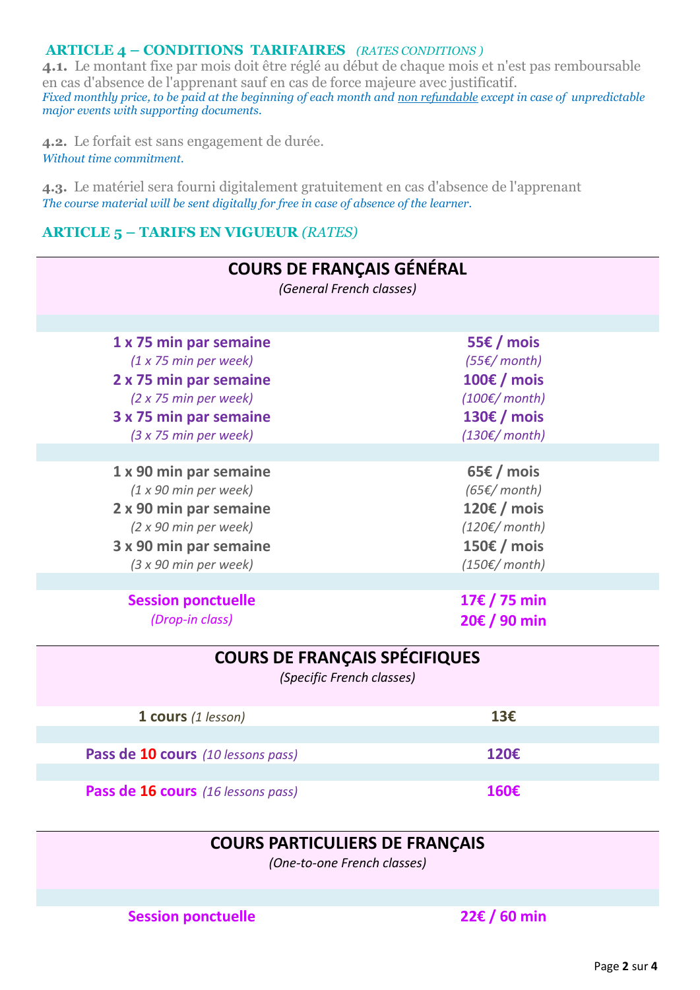#### **ARTICLE 4 – CONDITIONS TARIFAIRES** *(RATES CONDITIONS )*

**4.1.** Le montant fixe par mois doit être réglé au début de chaque mois et n'est pas remboursable en cas d'absence de l'apprenant sauf en cas de force majeure avec justificatif. *Fixed monthly price, to be paid at the beginning of each month and non refundable except in case of unpredictable major events with supporting documents.*

**4.2.** Le forfait est sans engagement de durée. *Without time commitment.*

**4.3.** Le matériel sera fourni digitalement gratuitement en cas d'absence de l'apprenant *The course material will be sent digitally for free in case of absence of the learner.*

#### **ARTICLE 5 – TARIFS EN VIGUEUR** *(RATES)*

| <b>COURS DE FRANÇAIS GÉNÉRAL</b><br>(General French classes)                                                                                          |                                                                                                                   |  |  |
|-------------------------------------------------------------------------------------------------------------------------------------------------------|-------------------------------------------------------------------------------------------------------------------|--|--|
| 1 x 75 min par semaine<br>(1 x 75 min per week)<br>2 x 75 min par semaine<br>(2 x 75 min per week)<br>3 x 75 min par semaine<br>(3 x 75 min per week) | 55€ / mois<br>$(55)$ month)<br>100€ / mois<br>$(100 \epsilon /$ month)<br>130€ / mois<br>$(130 \epsilon /$ month) |  |  |
| 1 x 90 min par semaine<br>(1 x 90 min per week)<br>2 x 90 min par semaine<br>(2 x 90 min per week)<br>3 x 90 min par semaine<br>(3 x 90 min per week) | 65€ / mois<br>$(65)$ month)<br>120€ / mois<br>$(120 \epsilon /$ month)<br>150€ / mois<br>$(150 \epsilon /$ month) |  |  |
| <b>Session ponctuelle</b><br>(Drop-in class)                                                                                                          | 17€ / 75 min<br>20€ / 90 min                                                                                      |  |  |
| <b>COURS DE FRANÇAIS SPÉCIFIQUES</b><br>(Specific French classes)                                                                                     |                                                                                                                   |  |  |
| 1 cours (1 lesson)                                                                                                                                    | 13€                                                                                                               |  |  |
| Pass de 10 cours (10 lessons pass)                                                                                                                    | 120€                                                                                                              |  |  |
| Pass de 16 cours (16 lessons pass)                                                                                                                    | 160€                                                                                                              |  |  |

# **COURS PARTICULIERS DE FRANÇAIS**

*(One-to-one French classes)*

**Session ponctuelle 22€ / 60 min**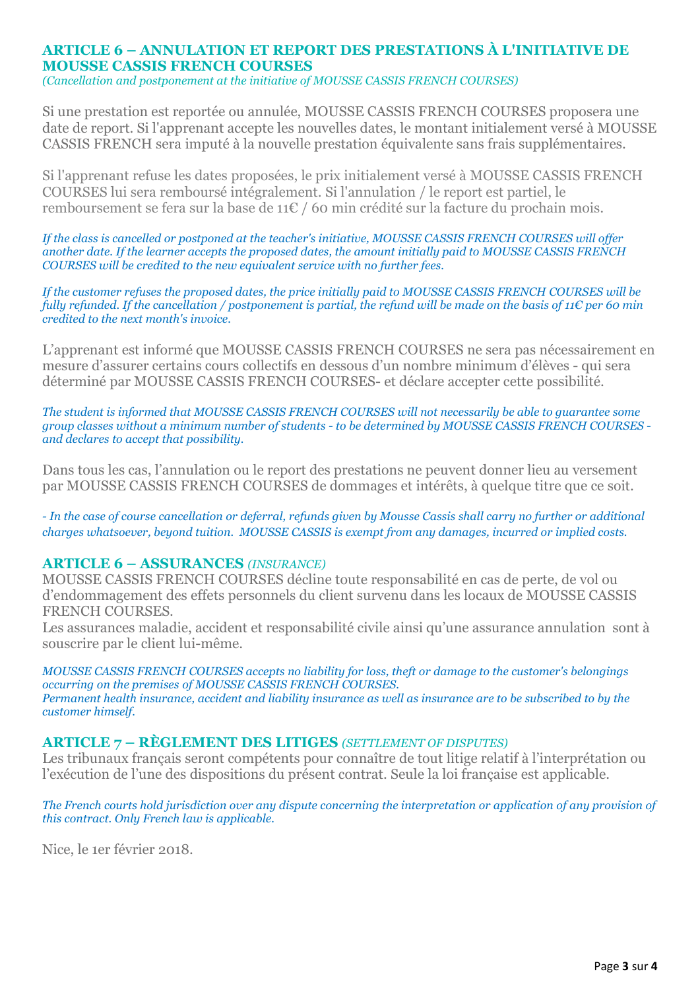# **ARTICLE 6 – ANNULATION ET REPORT DES PRESTATIONS À L'INITIATIVE DE MOUSSE CASSIS FRENCH COURSES**

*(Cancellation and postponement at the initiative of MOUSSE CASSIS FRENCH COURSES)*

Si une prestation est reportée ou annulée, MOUSSE CASSIS FRENCH COURSES proposera une date de report. Si l'apprenant accepte les nouvelles dates, le montant initialement versé à MOUSSE CASSIS FRENCH sera imputé à la nouvelle prestation équivalente sans frais supplémentaires.

Si l'apprenant refuse les dates proposées, le prix initialement versé à MOUSSE CASSIS FRENCH COURSES lui sera remboursé intégralement. Si l'annulation / le report est partiel, le remboursement se fera sur la base de 11€ / 60 min crédité sur la facture du prochain mois*.*

*If the class is cancelled or postponed at the teacher's initiative, MOUSSE CASSIS FRENCH COURSES will offer another date. If the learner accepts the proposed dates, the amount initially paid to MOUSSE CASSIS FRENCH COURSES will be credited to the new equivalent service with no further fees.* 

If the customer refuses the proposed dates, the price initially paid to MOUSSE CASSIS FRENCH COURSES will be fully refunded. If the cancellation / postponement is partial, the refund will be made on the basis of 11€ per 60 min *credited to the next month's invoice.*

L'apprenant est informé que MOUSSE CASSIS FRENCH COURSES ne sera pas nécessairement en mesure d'assurer certains cours collectifs en dessous d'un nombre minimum d'élèves - qui sera déterminé par MOUSSE CASSIS FRENCH COURSES- et déclare accepter cette possibilité.

*The student is informed that MOUSSE CASSIS FRENCH COURSES will not necessarily be able to guarantee some* group classes without a minimum number of students - to be determined by MOUSSE CASSIS FRENCH COURSES *and declares to accept that possibility.*

Dans tous les cas, l'annulation ou le report des prestations ne peuvent donner lieu au versement par MOUSSE CASSIS FRENCH COURSES de dommages et intérêts, à quelque titre que ce soit.

- In the case of course cancellation or deferral, refunds given by Mousse Cassis shall carry no further or additional *charges whatsoever, beyond tuition. MOUSSE CASSIS is exempt from any damages, incurred or implied costs.*

#### **ARTICLE 6 – ASSURANCES** *(INSURANCE)*

MOUSSE CASSIS FRENCH COURSES décline toute responsabilité en cas de perte, de vol ou d'endommagement des effets personnels du client survenu dans les locaux de MOUSSE CASSIS FRENCH COURSES.

Les assurances maladie, accident et responsabilité civile ainsi qu'une assurance annulation sont à souscrire par le client lui-même.

*MOUSSE CASSIS FRENCH COURSES accepts no liability for loss, theft or damage to the customer's belongings occurring on the premises of MOUSSE CASSIS FRENCH COURSES.* Permanent health insurance, accident and liability insurance as well as insurance are to be subscribed to by the *customer himself.*

#### **ARTICLE 7 – RÈGLEMENT DES LITIGES** *(SETTLEMENT OF DISPUTES)*

Les tribunaux français seront compétents pour connaître de tout litige relatif à l'interprétation ou l'exécution de l'une des dispositions du présent contrat. Seule la loi française est applicable.

The French courts hold jurisdiction over any dispute concerning the interpretation or application of any provision of *this contract. Only French law is applicable.*

Nice, le 1er février 2018.